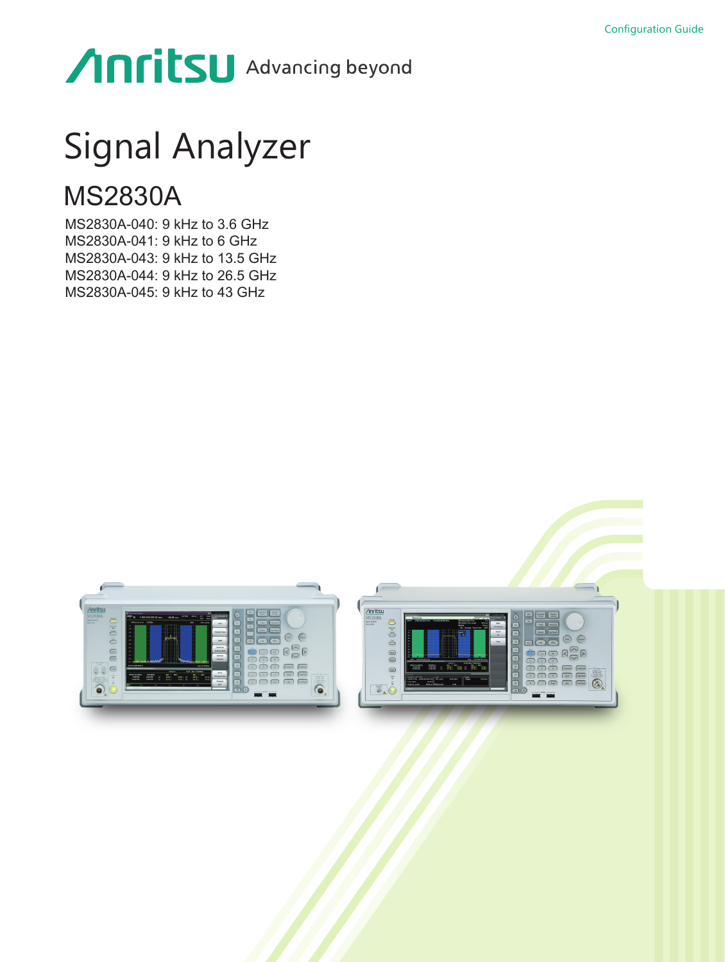# **Anritsu** Advancing beyond

## Signal Analyzer

### MS2830A

MS2830A-040: 9 kHz to 3.6 GHz MS2830A-041: 9 kHz to 6 GHz MS2830A-043: 9 kHz to 13.5 GHz MS2830A-044: 9 kHz to 26.5 GHz MS2830A-045: 9 kHz to 43 GHz



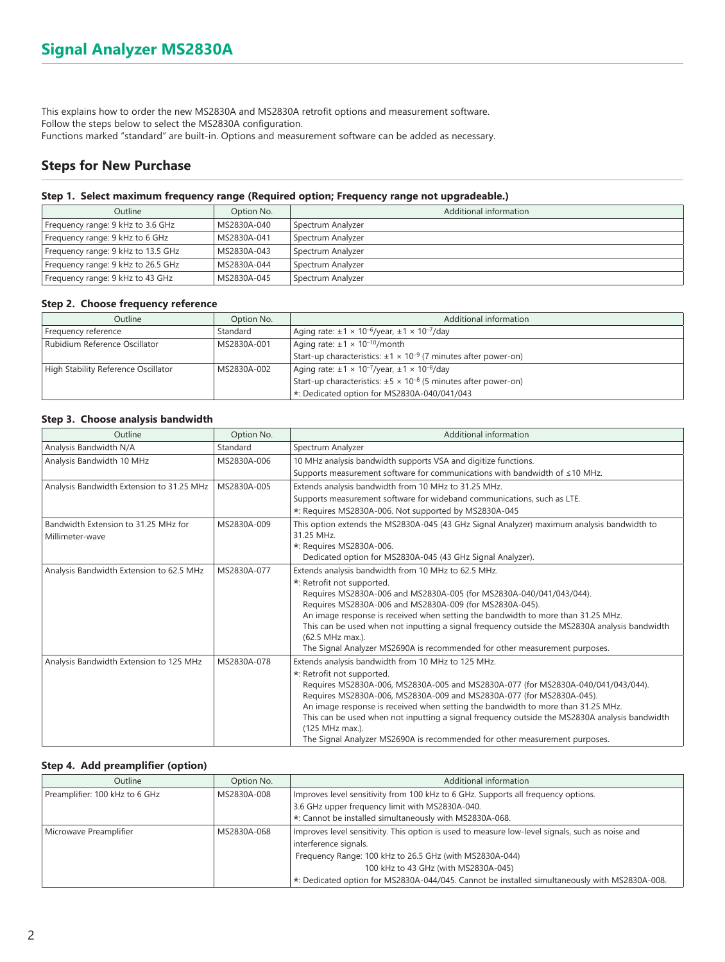This explains how to order the new MS2830A and MS2830A retrofit options and measurement software. Follow the steps below to select the MS2830A configuration. Functions marked "standard" are built-in. Options and measurement software can be added as necessary.

#### **Steps for New Purchase**

#### **Step 1. Select maximum frequency range (Required option; Frequency range not upgradeable.)**

| Outline                            | Option No.  | Additional information |
|------------------------------------|-------------|------------------------|
| Frequency range: 9 kHz to 3.6 GHz  | MS2830A-040 | Spectrum Analyzer      |
| Frequency range: 9 kHz to 6 GHz    | MS2830A-041 | Spectrum Analyzer      |
| Frequency range: 9 kHz to 13.5 GHz | MS2830A-043 | Spectrum Analyzer      |
| Frequency range: 9 kHz to 26.5 GHz | MS2830A-044 | Spectrum Analyzer      |
| Frequency range: 9 kHz to 43 GHz   | MS2830A-045 | Spectrum Analyzer      |

#### **Step 2. Choose frequency reference**

| Outline                             | Option No.  | Additional information                                                      |
|-------------------------------------|-------------|-----------------------------------------------------------------------------|
| Frequency reference                 | Standard    | Aging rate: $\pm 1 \times 10^{-6}$ /year, $\pm 1 \times 10^{-7}$ /day       |
| Rubidium Reference Oscillator       | MS2830A-001 | Aging rate: $\pm 1 \times 10^{-10}$ /month                                  |
|                                     |             | Start-up characteristics: $\pm 1 \times 10^{-9}$ (7 minutes after power-on) |
| High Stability Reference Oscillator | MS2830A-002 | Aging rate: $\pm 1 \times 10^{-7}$ /year, $\pm 1 \times 10^{-8}$ /day       |
|                                     |             | Start-up characteristics: $\pm 5 \times 10^{-8}$ (5 minutes after power-on) |
|                                     |             | *: Dedicated option for MS2830A-040/041/043                                 |

#### **Step 3. Choose analysis bandwidth**

| Outline                                   | Option No.  | <b>Additional information</b>                                                                                                  |
|-------------------------------------------|-------------|--------------------------------------------------------------------------------------------------------------------------------|
| Analysis Bandwidth N/A                    | Standard    | Spectrum Analyzer                                                                                                              |
| Analysis Bandwidth 10 MHz                 | MS2830A-006 | 10 MHz analysis bandwidth supports VSA and digitize functions.                                                                 |
|                                           |             | Supports measurement software for communications with bandwidth of ≤10 MHz.                                                    |
| Analysis Bandwidth Extension to 31.25 MHz | MS2830A-005 | Extends analysis bandwidth from 10 MHz to 31.25 MHz.                                                                           |
|                                           |             | Supports measurement software for wideband communications, such as LTE.                                                        |
|                                           |             | *: Requires MS2830A-006. Not supported by MS2830A-045                                                                          |
| Bandwidth Extension to 31.25 MHz for      | MS2830A-009 | This option extends the MS2830A-045 (43 GHz Signal Analyzer) maximum analysis bandwidth to                                     |
| Millimeter-wave                           |             | 31.25 MHz.                                                                                                                     |
|                                           |             | *: Requires MS2830A-006.                                                                                                       |
|                                           |             | Dedicated option for MS2830A-045 (43 GHz Signal Analyzer).                                                                     |
| Analysis Bandwidth Extension to 62.5 MHz  | MS2830A-077 | Extends analysis bandwidth from 10 MHz to 62.5 MHz.                                                                            |
|                                           |             | *: Retrofit not supported.                                                                                                     |
|                                           |             | Requires MS2830A-006 and MS2830A-005 (for MS2830A-040/041/043/044).<br>Requires MS2830A-006 and MS2830A-009 (for MS2830A-045). |
|                                           |             | An image response is received when setting the bandwidth to more than 31.25 MHz.                                               |
|                                           |             | This can be used when not inputting a signal frequency outside the MS2830A analysis bandwidth                                  |
|                                           |             | (62.5 MHz max.).                                                                                                               |
|                                           |             | The Signal Analyzer MS2690A is recommended for other measurement purposes.                                                     |
| Analysis Bandwidth Extension to 125 MHz   | MS2830A-078 | Extends analysis bandwidth from 10 MHz to 125 MHz.                                                                             |
|                                           |             | *: Retrofit not supported.                                                                                                     |
|                                           |             | Requires MS2830A-006, MS2830A-005 and MS2830A-077 (for MS2830A-040/041/043/044).                                               |
|                                           |             | Requires MS2830A-006, MS2830A-009 and MS2830A-077 (for MS2830A-045).                                                           |
|                                           |             | An image response is received when setting the bandwidth to more than 31.25 MHz.                                               |
|                                           |             | This can be used when not inputting a signal frequency outside the MS2830A analysis bandwidth                                  |
|                                           |             | (125 MHz max.).                                                                                                                |
|                                           |             | The Signal Analyzer MS2690A is recommended for other measurement purposes.                                                     |

#### **Step 4. Add preamplifier (option)**

| <b>Outline</b>                 | Option No.  | Additional information                                                                          |
|--------------------------------|-------------|-------------------------------------------------------------------------------------------------|
| Preamplifier: 100 kHz to 6 GHz | MS2830A-008 | Improves level sensitivity from 100 kHz to 6 GHz. Supports all frequency options.               |
|                                |             | 3.6 GHz upper frequency limit with MS2830A-040.                                                 |
|                                |             | *: Cannot be installed simultaneously with MS2830A-068.                                         |
| Microwave Preamplifier         | MS2830A-068 | Improves level sensitivity. This option is used to measure low-level signals, such as noise and |
|                                |             | interference signals.                                                                           |
|                                |             | Frequency Range: 100 kHz to 26.5 GHz (with MS2830A-044)                                         |
|                                |             | 100 kHz to 43 GHz (with MS2830A-045)                                                            |
|                                |             | *: Dedicated option for MS2830A-044/045. Cannot be installed simultaneously with MS2830A-008.   |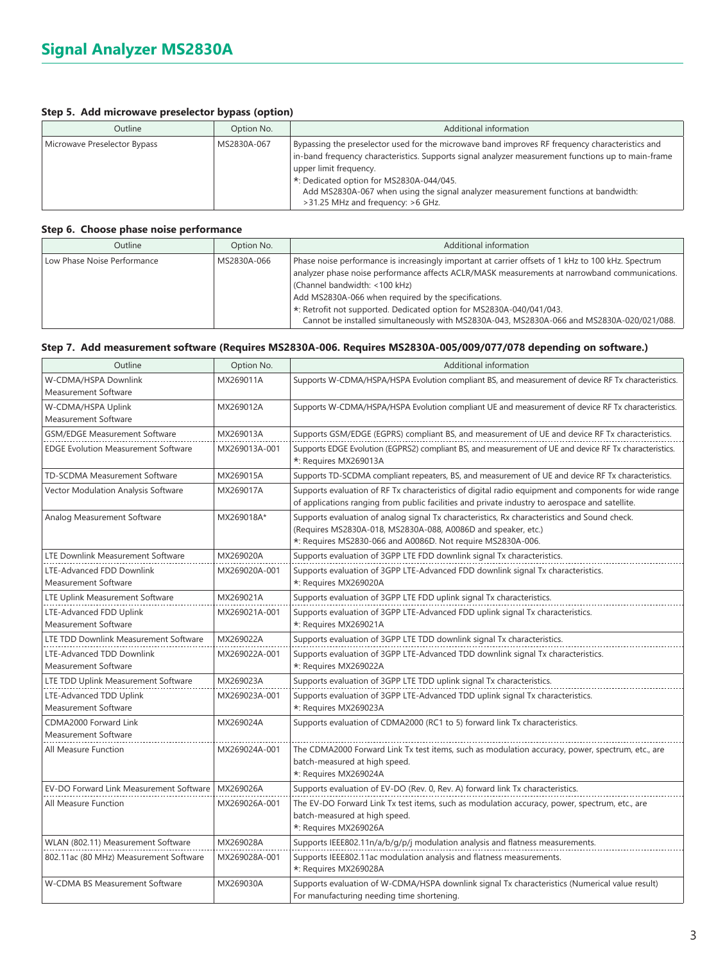#### **Step 5. Add microwave preselector bypass (option)**

| Outline                      | Option No.  | Additional information                                                                                                                                                                                                                                                                                                                                                                                 |
|------------------------------|-------------|--------------------------------------------------------------------------------------------------------------------------------------------------------------------------------------------------------------------------------------------------------------------------------------------------------------------------------------------------------------------------------------------------------|
| Microwave Preselector Bypass | MS2830A-067 | Bypassing the preselector used for the microwave band improves RF frequency characteristics and<br>in-band frequency characteristics. Supports signal analyzer measurement functions up to main-frame<br>upper limit frequency.<br>*: Dedicated option for MS2830A-044/045.<br>Add MS2830A-067 when using the signal analyzer measurement functions at bandwidth:<br>>31.25 MHz and frequency: >6 GHz. |

#### **Step 6. Choose phase noise performance**

| Outline                     | Option No.  | Additional information                                                                                                                                                                                                                                                                                                                                                                                                                                            |
|-----------------------------|-------------|-------------------------------------------------------------------------------------------------------------------------------------------------------------------------------------------------------------------------------------------------------------------------------------------------------------------------------------------------------------------------------------------------------------------------------------------------------------------|
| Low Phase Noise Performance | MS2830A-066 | Phase noise performance is increasingly important at carrier offsets of 1 kHz to 100 kHz. Spectrum<br>analyzer phase noise performance affects ACLR/MASK measurements at narrowband communications.<br>(Channel bandwidth: <100 kHz)<br>Add MS2830A-066 when required by the specifications.<br>*: Retrofit not supported. Dedicated option for MS2830A-040/041/043.<br>Cannot be installed simultaneously with MS2830A-043, MS2830A-066 and MS2830A-020/021/088. |

#### **Step 7. Add measurement software (Requires MS2830A-006. Requires MS2830A-005/009/077/078 depending on software.)**

| Outline                                                  | Option No.    | Additional information                                                                                                                                                                                                       |
|----------------------------------------------------------|---------------|------------------------------------------------------------------------------------------------------------------------------------------------------------------------------------------------------------------------------|
| W-CDMA/HSPA Downlink<br>Measurement Software             | MX269011A     | Supports W-CDMA/HSPA/HSPA Evolution compliant BS, and measurement of device RF Tx characteristics.                                                                                                                           |
| W-CDMA/HSPA Uplink<br>Measurement Software               | MX269012A     | Supports W-CDMA/HSPA/HSPA Evolution compliant UE and measurement of device RF Tx characteristics.                                                                                                                            |
| <b>GSM/EDGE Measurement Software</b>                     | MX269013A     | Supports GSM/EDGE (EGPRS) compliant BS, and measurement of UE and device RF Tx characteristics.                                                                                                                              |
| <b>EDGE Evolution Measurement Software</b>               | MX269013A-001 | Supports EDGE Evolution (EGPRS2) compliant BS, and measurement of UE and device RF Tx characteristics.<br>*: Requires MX269013A                                                                                              |
| TD-SCDMA Measurement Software                            | MX269015A     | Supports TD-SCDMA compliant repeaters, BS, and measurement of UE and device RF Tx characteristics.                                                                                                                           |
| Vector Modulation Analysis Software                      | MX269017A     | Supports evaluation of RF Tx characteristics of digital radio equipment and components for wide range<br>of applications ranging from public facilities and private industry to aerospace and satellite.                     |
| Analog Measurement Software                              | MX269018A*    | Supports evaluation of analog signal Tx characteristics, Rx characteristics and Sound check.<br>(Requires MS2830A-018, MS2830A-088, A0086D and speaker, etc.)<br>*: Requires MS2830-066 and A0086D. Not require MS2830A-006. |
| LTE Downlink Measurement Software                        | MX269020A     | Supports evaluation of 3GPP LTE FDD downlink signal Tx characteristics.                                                                                                                                                      |
| LTE-Advanced FDD Downlink<br>Measurement Software        | MX269020A-001 | Supports evaluation of 3GPP LTE-Advanced FDD downlink signal Tx characteristics.<br>*: Requires MX269020A                                                                                                                    |
| LTE Uplink Measurement Software                          | MX269021A     | Supports evaluation of 3GPP LTE FDD uplink signal Tx characteristics.                                                                                                                                                        |
| LTE-Advanced FDD Uplink<br>Measurement Software          | MX269021A-001 | Supports evaluation of 3GPP LTE-Advanced FDD uplink signal Tx characteristics.<br>*: Requires MX269021A                                                                                                                      |
| LTE TDD Downlink Measurement Software                    | MX269022A     | Supports evaluation of 3GPP LTE TDD downlink signal Tx characteristics.                                                                                                                                                      |
| LTE-Advanced TDD Downlink<br><b>Measurement Software</b> | MX269022A-001 | Supports evaluation of 3GPP LTE-Advanced TDD downlink signal Tx characteristics.<br>*: Requires MX269022A                                                                                                                    |
| LTE TDD Uplink Measurement Software                      | MX269023A     | Supports evaluation of 3GPP LTE TDD uplink signal Tx characteristics.                                                                                                                                                        |
| LTE-Advanced TDD Uplink<br><b>Measurement Software</b>   | MX269023A-001 | Supports evaluation of 3GPP LTE-Advanced TDD uplink signal Tx characteristics.<br>*: Requires MX269023A                                                                                                                      |
| CDMA2000 Forward Link<br><b>Measurement Software</b>     | MX269024A     | Supports evaluation of CDMA2000 (RC1 to 5) forward link Tx characteristics.                                                                                                                                                  |
| All Measure Function                                     | MX269024A-001 | The CDMA2000 Forward Link Tx test items, such as modulation accuracy, power, spectrum, etc., are<br>batch-measured at high speed.<br>*: Requires MX269024A                                                                   |
| EV-DO Forward Link Measurement Software                  | MX269026A     | Supports evaluation of EV-DO (Rev. 0, Rev. A) forward link Tx characteristics.                                                                                                                                               |
| All Measure Function                                     | MX269026A-001 | The EV-DO Forward Link Tx test items, such as modulation accuracy, power, spectrum, etc., are<br>batch-measured at high speed.<br>*: Requires MX269026A                                                                      |
| WLAN (802.11) Measurement Software                       | MX269028A     | Supports IEEE802.11n/a/b/g/p/j modulation analysis and flatness measurements.                                                                                                                                                |
| 802.11ac (80 MHz) Measurement Software                   | MX269028A-001 | Supports IEEE802.11ac modulation analysis and flatness measurements.<br>*: Requires MX269028A                                                                                                                                |
| <b>W-CDMA BS Measurement Software</b>                    | MX269030A     | Supports evaluation of W-CDMA/HSPA downlink signal Tx characteristics (Numerical value result)<br>For manufacturing needing time shortening.                                                                                 |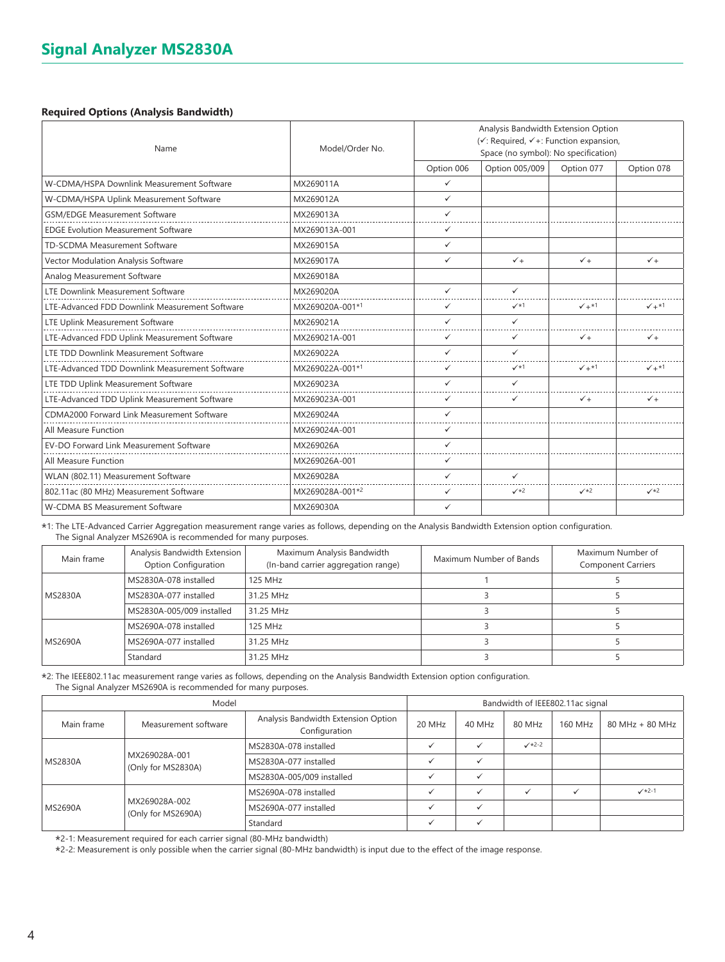#### **Required Options (Analysis Bandwidth)**

| Name                                           | Model/Order No. | Analysis Bandwidth Extension Option<br>$(\checkmark)$ : Required, $\checkmark$ +: Function expansion,<br>Space (no symbol): No specification) |                 |                 |                 |
|------------------------------------------------|-----------------|-----------------------------------------------------------------------------------------------------------------------------------------------|-----------------|-----------------|-----------------|
|                                                |                 | Option 006                                                                                                                                    | Option 005/009  | Option 077      | Option 078      |
| W-CDMA/HSPA Downlink Measurement Software      | MX269011A       | $\checkmark$                                                                                                                                  |                 |                 |                 |
| W-CDMA/HSPA Uplink Measurement Software        | MX269012A       | $\checkmark$                                                                                                                                  |                 |                 |                 |
| <b>GSM/EDGE Measurement Software</b>           | MX269013A       | ✓                                                                                                                                             |                 |                 |                 |
| <b>EDGE Evolution Measurement Software</b>     | MX269013A-001   |                                                                                                                                               |                 |                 |                 |
| TD-SCDMA Measurement Software                  | MX269015A       | $\checkmark$                                                                                                                                  |                 |                 |                 |
| Vector Modulation Analysis Software            | MX269017A       | ✓                                                                                                                                             | $\checkmark$    | $\checkmark$    | $\checkmark$    |
| Analog Measurement Software                    | MX269018A       |                                                                                                                                               |                 |                 |                 |
| LTE Downlink Measurement Software              | MX269020A       | $\checkmark$                                                                                                                                  | ✓               |                 |                 |
| LTE-Advanced FDD Downlink Measurement Software | MX269020A-001*1 | ✓                                                                                                                                             | $\checkmark$    | $\sqrt{+1}$     | $\sqrt{+1}$     |
| LTE Uplink Measurement Software                | MX269021A       | ✓                                                                                                                                             | $\checkmark$    |                 |                 |
| LTE-Advanced FDD Uplink Measurement Software   | MX269021A-001   | ✓                                                                                                                                             | ✓               | $\checkmark$    | $\checkmark$    |
| LTE TDD Downlink Measurement Software          | MX269022A       | ✓                                                                                                                                             | ✓               |                 |                 |
| LTE-Advanced TDD Downlink Measurement Software | MX269022A-001*1 | $\checkmark$                                                                                                                                  | $\checkmark$ *1 | $\sqrt{+1}$     | $\nu$ +*1       |
| LTE TDD Uplink Measurement Software            | MX269023A       | ✓                                                                                                                                             | ✓               |                 |                 |
| LTE-Advanced TDD Uplink Measurement Software   | MX269023A-001   | ✓                                                                                                                                             | ✓               | $\checkmark$ +  | $\checkmark$ +  |
| CDMA2000 Forward Link Measurement Software     | MX269024A       | $\checkmark$                                                                                                                                  |                 |                 |                 |
| All Measure Function                           | MX269024A-001   | ✓                                                                                                                                             |                 |                 |                 |
| EV-DO Forward Link Measurement Software        | MX269026A       | ✓                                                                                                                                             |                 |                 |                 |
| All Measure Function                           | MX269026A-001   | ✓                                                                                                                                             |                 |                 |                 |
| WLAN (802.11) Measurement Software             | MX269028A       | ✓                                                                                                                                             | ✓               |                 |                 |
| 802.11ac (80 MHz) Measurement Software         | MX269028A-001*2 | ✓                                                                                                                                             | $\checkmark$ *2 | $\checkmark$ +2 | $\checkmark$ *2 |
| W-CDMA BS Measurement Software                 | MX269030A       | ✓                                                                                                                                             |                 |                 |                 |

\*1: The LTE-Advanced Carrier Aggregation measurement range varies as follows, depending on the Analysis Bandwidth Extension option configuration. The Signal Analyzer MS2690A is recommended for many purposes.

| Main frame                | Analysis Bandwidth Extension<br><b>Option Configuration</b> | Maximum Analysis Bandwidth<br>(In-band carrier aggregation range) | Maximum Number of Bands | Maximum Number of<br><b>Component Carriers</b> |
|---------------------------|-------------------------------------------------------------|-------------------------------------------------------------------|-------------------------|------------------------------------------------|
|                           | MS2830A-078 installed                                       | 125 MHz                                                           |                         |                                                |
| <b>MS2830A</b>            | MS2830A-077 installed                                       | 31.25 MHz                                                         |                         |                                                |
| MS2830A-005/009 installed |                                                             | 31.25 MHz                                                         |                         |                                                |
|                           | MS2690A-078 installed                                       | 125 MHz                                                           |                         |                                                |
| <b>MS2690A</b>            | MS2690A-077 installed                                       | 31.25 MHz                                                         |                         |                                                |
|                           | Standard                                                    | 31.25 MHz                                                         |                         |                                                |

\*2: The IEEE802.11ac measurement range varies as follows, depending on the Analysis Bandwidth Extension option configuration. The Signal Analyzer MS2690A is recommended for many purposes.

| Model                                                 |                                     |                                                      | Bandwidth of IEEE802.11ac signal |        |         |         |                 |
|-------------------------------------------------------|-------------------------------------|------------------------------------------------------|----------------------------------|--------|---------|---------|-----------------|
| Main frame                                            | Measurement software                | Analysis Bandwidth Extension Option<br>Configuration | 20 MHz                           | 40 MHz | 80 MHz  | 160 MHz | 80 MHz + 80 MHz |
|                                                       | MX269028A-001<br>(Only for MS2830A) | MS2830A-078 installed                                |                                  |        | $x+2-2$ |         |                 |
| <b>MS2830A</b>                                        |                                     | MS2830A-077 installed                                |                                  |        |         |         |                 |
|                                                       | MS2830A-005/009 installed           |                                                      |                                  |        |         |         |                 |
|                                                       |                                     | MS2690A-078 installed                                |                                  |        |         |         | $x^{*2-1}$      |
| MX269028A-002<br><b>MS2690A</b><br>(Only for MS2690A) | MS2690A-077 installed               |                                                      |                                  |        |         |         |                 |
|                                                       | Standard                            |                                                      |                                  |        |         |         |                 |

\*2-1: Measurement required for each carrier signal (80-MHz bandwidth)

\*2-2: Measurement is only possible when the carrier signal (80-MHz bandwidth) is input due to the effect of the image response.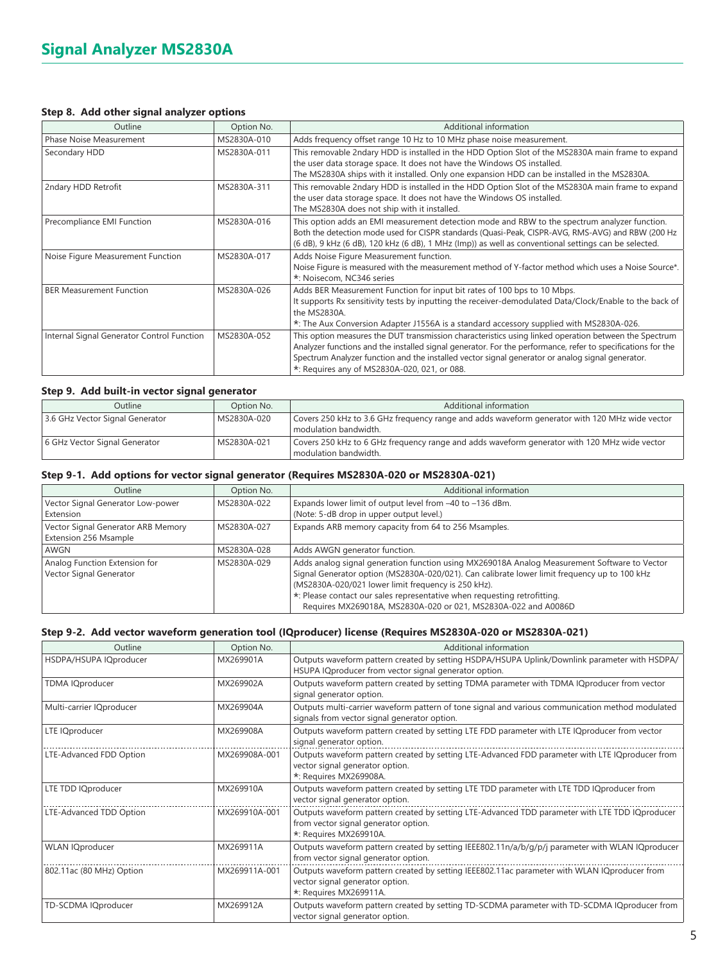#### **Step 8. Add other signal analyzer options**

| Outline                                    | Option No.  | Additional information                                                                                                                                                                                                                                                                                                                                                   |
|--------------------------------------------|-------------|--------------------------------------------------------------------------------------------------------------------------------------------------------------------------------------------------------------------------------------------------------------------------------------------------------------------------------------------------------------------------|
| <b>Phase Noise Measurement</b>             | MS2830A-010 | Adds frequency offset range 10 Hz to 10 MHz phase noise measurement.                                                                                                                                                                                                                                                                                                     |
| Secondary HDD                              | MS2830A-011 | This removable 2ndary HDD is installed in the HDD Option Slot of the MS2830A main frame to expand<br>the user data storage space. It does not have the Windows OS installed.<br>The MS2830A ships with it installed. Only one expansion HDD can be installed in the MS2830A.                                                                                             |
| 2ndary HDD Retrofit                        | MS2830A-311 | This removable 2ndary HDD is installed in the HDD Option Slot of the MS2830A main frame to expand<br>the user data storage space. It does not have the Windows OS installed.<br>The MS2830A does not ship with it installed.                                                                                                                                             |
| Precompliance EMI Function                 | MS2830A-016 | This option adds an EMI measurement detection mode and RBW to the spectrum analyzer function.<br>Both the detection mode used for CISPR standards (Quasi-Peak, CISPR-AVG, RMS-AVG) and RBW (200 Hz<br>(6 dB), 9 kHz (6 dB), 120 kHz (6 dB), 1 MHz (lmp)) as well as conventional settings can be selected.                                                               |
| Noise Figure Measurement Function          | MS2830A-017 | Adds Noise Figure Measurement function.<br>Noise Figure is measured with the measurement method of Y-factor method which uses a Noise Source*.<br>*: Noisecom, NC346 series                                                                                                                                                                                              |
| <b>BER Measurement Function</b>            | MS2830A-026 | Adds BER Measurement Function for input bit rates of 100 bps to 10 Mbps.<br>It supports Rx sensitivity tests by inputting the receiver-demodulated Data/Clock/Enable to the back of<br>the MS2830A.<br>*: The Aux Conversion Adapter J1556A is a standard accessory supplied with MS2830A-026.                                                                           |
| Internal Signal Generator Control Function | MS2830A-052 | This option measures the DUT transmission characteristics using linked operation between the Spectrum<br>Analyzer functions and the installed signal generator. For the performance, refer to specifications for the<br>Spectrum Analyzer function and the installed vector signal generator or analog signal generator.<br>*: Requires any of MS2830A-020, 021, or 088. |

#### **Step 9. Add built-in vector signal generator**

| Outline                         | Option No.  | Additional information                                                                                                  |
|---------------------------------|-------------|-------------------------------------------------------------------------------------------------------------------------|
| 3.6 GHz Vector Signal Generator | MS2830A-020 | Covers 250 kHz to 3.6 GHz frequency range and adds waveform generator with 120 MHz wide vector<br>modulation bandwidth. |
| 6 GHz Vector Signal Generator   | MS2830A-021 | Covers 250 kHz to 6 GHz frequency range and adds waveform generator with 120 MHz wide vector<br>modulation bandwidth.   |

#### **Step 9-1. Add options for vector signal generator (Requires MS2830A-020 or MS2830A-021)**

| Outline                            | Option No.  | Additional information                                                                       |
|------------------------------------|-------------|----------------------------------------------------------------------------------------------|
| Vector Signal Generator Low-power  | MS2830A-022 | Expands lower limit of output level from -40 to -136 dBm.                                    |
| Extension                          |             | (Note: 5-dB drop in upper output level.)                                                     |
| Vector Signal Generator ARB Memory | MS2830A-027 | Expands ARB memory capacity from 64 to 256 Msamples.                                         |
| Extension 256 Msample              |             |                                                                                              |
| AWGN                               | MS2830A-028 | Adds AWGN generator function.                                                                |
| Analog Function Extension for      | MS2830A-029 | Adds analog signal generation function using MX269018A Analog Measurement Software to Vector |
| Vector Signal Generator            |             | Signal Generator option (MS2830A-020/021). Can calibrate lower limit frequency up to 100 kHz |
|                                    |             | (MS2830A-020/021 lower limit frequency is 250 kHz).                                          |
|                                    |             | *: Please contact our sales representative when requesting retrofitting.                     |
|                                    |             | Requires MX269018A, MS2830A-020 or 021, MS2830A-022 and A0086D                               |

#### **Step 9-2. Add vector waveform generation tool (IQproducer) license (Requires MS2830A-020 or MS2830A-021)**

| Outline                  | Option No.    | Additional information                                                                                                                                           |
|--------------------------|---------------|------------------------------------------------------------------------------------------------------------------------------------------------------------------|
| HSDPA/HSUPA IQproducer   | MX269901A     | Outputs waveform pattern created by setting HSDPA/HSUPA Uplink/Downlink parameter with HSDPA/<br>HSUPA IQproducer from vector signal generator option.           |
| <b>TDMA IQproducer</b>   | MX269902A     | Outputs waveform pattern created by setting TDMA parameter with TDMA IQproducer from vector<br>signal generator option.                                          |
| Multi-carrier IQproducer | MX269904A     | Outputs multi-carrier waveform pattern of tone signal and various communication method modulated<br>signals from vector signal generator option.                 |
| LTE IQproducer           | MX269908A     | Outputs waveform pattern created by setting LTE FDD parameter with LTE IQproducer from vector<br>signal generator option.                                        |
| LTE-Advanced FDD Option  | MX269908A-001 | Outputs waveform pattern created by setting LTE-Advanced FDD parameter with LTE IQproducer from<br>vector signal generator option.<br>*: Requires MX269908A.     |
| LTE TDD IQproducer       | MX269910A     | Outputs waveform pattern created by setting LTE TDD parameter with LTE TDD IQproducer from<br>vector signal generator option.                                    |
| LTE-Advanced TDD Option  | MX269910A-001 | Outputs waveform pattern created by setting LTE-Advanced TDD parameter with LTE TDD IQproducer<br>from vector signal generator option.<br>*: Requires MX269910A. |
| <b>WLAN IQproducer</b>   | MX269911A     | Outputs waveform pattern created by setting IEEE802.11n/a/b/g/p/j parameter with WLAN IQproducer<br>from vector signal generator option.                         |
| 802.11ac (80 MHz) Option | MX269911A-001 | Outputs waveform pattern created by setting IEEE802.11ac parameter with WLAN IQproducer from<br>vector signal generator option.<br>*: Requires MX269911A.        |
| TD-SCDMA IQproducer      | MX269912A     | Outputs waveform pattern created by setting TD-SCDMA parameter with TD-SCDMA IQproducer from<br>vector signal generator option.                                  |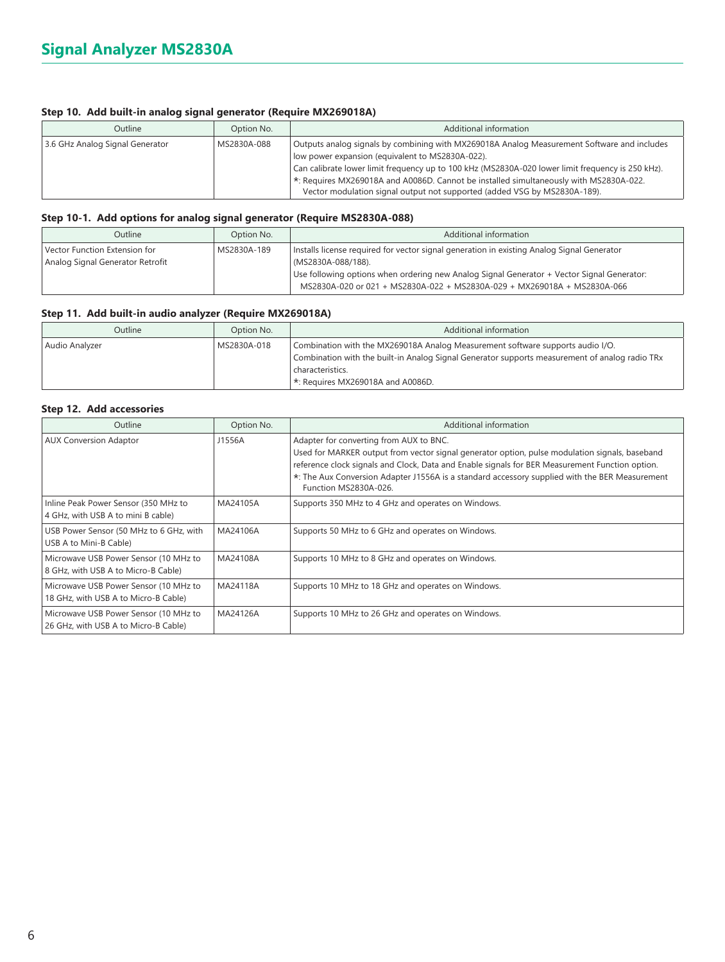#### **Step 10. Add built-in analog signal generator (Require MX269018A)**

| Outline                         | Option No.  | Additional information                                                                                                                                                                                                                                                                                                                                                                                                      |
|---------------------------------|-------------|-----------------------------------------------------------------------------------------------------------------------------------------------------------------------------------------------------------------------------------------------------------------------------------------------------------------------------------------------------------------------------------------------------------------------------|
| 3.6 GHz Analog Signal Generator | MS2830A-088 | Outputs analog signals by combining with MX269018A Analog Measurement Software and includes<br>low power expansion (equivalent to MS2830A-022).<br>Can calibrate lower limit frequency up to 100 kHz (MS2830A-020 lower limit frequency is 250 kHz).<br>*: Requires MX269018A and A0086D. Cannot be installed simultaneously with MS2830A-022.<br>Vector modulation signal output not supported (added VSG by MS2830A-189). |

#### **Step 10-1. Add options for analog signal generator (Require MS2830A-088)**

| Outline                                                           | Option No.  | Additional information                                                                                                                                                                                                                                                                     |
|-------------------------------------------------------------------|-------------|--------------------------------------------------------------------------------------------------------------------------------------------------------------------------------------------------------------------------------------------------------------------------------------------|
| Vector Function Extension for<br>Analog Signal Generator Retrofit | MS2830A-189 | Installs license required for vector signal generation in existing Analog Signal Generator<br>(MS2830A-088/188).<br>Use following options when ordering new Analog Signal Generator + Vector Signal Generator:<br>MS2830A-020 or 021 + MS2830A-022 + MS2830A-029 + MX269018A + MS2830A-066 |

#### **Step 11. Add built-in audio analyzer (Require MX269018A)**

| Outline        | Option No.  | Additional information                                                                         |
|----------------|-------------|------------------------------------------------------------------------------------------------|
| Audio Analyzer | MS2830A-018 | Combination with the MX269018A Analog Measurement software supports audio I/O.                 |
|                |             | Combination with the built-in Analog Signal Generator supports measurement of analog radio TRx |
|                |             | characteristics.                                                                               |
|                |             | $\star$ : Requires MX269018A and A0086D.                                                       |

#### **Step 12. Add accessories**

| Outline                                                                       | Option No. | Additional information                                                                                                                                                                                                                                                                                                                                                  |
|-------------------------------------------------------------------------------|------------|-------------------------------------------------------------------------------------------------------------------------------------------------------------------------------------------------------------------------------------------------------------------------------------------------------------------------------------------------------------------------|
| <b>AUX Conversion Adaptor</b>                                                 | J1556A     | Adapter for converting from AUX to BNC.<br>Used for MARKER output from vector signal generator option, pulse modulation signals, baseband<br>reference clock signals and Clock, Data and Enable signals for BER Measurement Function option.<br>*: The Aux Conversion Adapter J1556A is a standard accessory supplied with the BER Measurement<br>Function MS2830A-026. |
| Inline Peak Power Sensor (350 MHz to<br>4 GHz, with USB A to mini B cable)    | MA24105A   | Supports 350 MHz to 4 GHz and operates on Windows.                                                                                                                                                                                                                                                                                                                      |
| USB Power Sensor (50 MHz to 6 GHz, with<br>USB A to Mini-B Cable)             | MA24106A   | Supports 50 MHz to 6 GHz and operates on Windows.                                                                                                                                                                                                                                                                                                                       |
| Microwave USB Power Sensor (10 MHz to<br>8 GHz, with USB A to Micro-B Cable)  | MA24108A   | Supports 10 MHz to 8 GHz and operates on Windows.                                                                                                                                                                                                                                                                                                                       |
| Microwave USB Power Sensor (10 MHz to<br>18 GHz, with USB A to Micro-B Cable) | MA24118A   | Supports 10 MHz to 18 GHz and operates on Windows.                                                                                                                                                                                                                                                                                                                      |
| Microwave USB Power Sensor (10 MHz to<br>26 GHz, with USB A to Micro-B Cable) | MA24126A   | Supports 10 MHz to 26 GHz and operates on Windows.                                                                                                                                                                                                                                                                                                                      |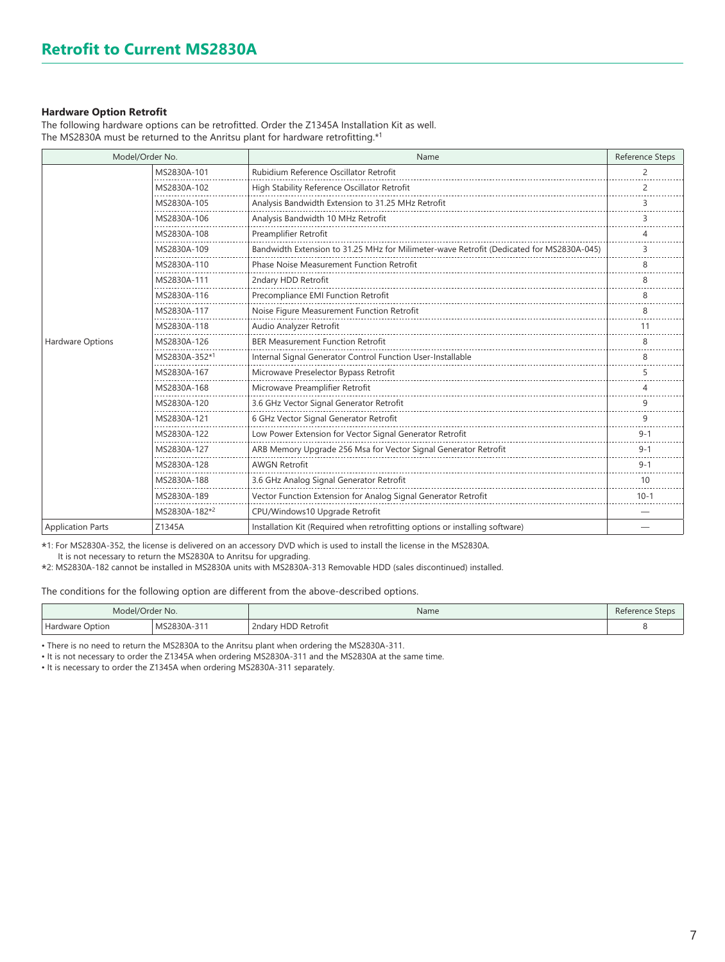#### **Hardware Option Retrofit**

The following hardware options can be retrofitted. Order the Z1345A Installation Kit as well. The MS2830A must be returned to the Anritsu plant for hardware retrofitting.\*1

|                          | Model/Order No.                                                               | Name                                                                                     | Reference Steps |  |  |  |
|--------------------------|-------------------------------------------------------------------------------|------------------------------------------------------------------------------------------|-----------------|--|--|--|
|                          | MS2830A-101                                                                   | Rubidium Reference Oscillator Retrofit                                                   | $\mathcal{P}$   |  |  |  |
|                          | MS2830A-102                                                                   | High Stability Reference Oscillator Retrofit                                             |                 |  |  |  |
|                          | MS2830A-105                                                                   | Analysis Bandwidth Extension to 31.25 MHz Retrofit                                       |                 |  |  |  |
|                          | MS2830A-106                                                                   | Analysis Bandwidth 10 MHz Retrofit                                                       |                 |  |  |  |
|                          | MS2830A-108                                                                   | Preamplifier Retrofit                                                                    |                 |  |  |  |
|                          | MS2830A-109                                                                   | Bandwidth Extension to 31.25 MHz for Milimeter-wave Retrofit (Dedicated for MS2830A-045) |                 |  |  |  |
|                          | MS2830A-110                                                                   | <b>Phase Noise Measurement Function Retrofit</b>                                         |                 |  |  |  |
|                          | MS2830A-111                                                                   | 2ndary HDD Retrofit                                                                      |                 |  |  |  |
|                          | MS2830A-116                                                                   | Precompliance EMI Function Retrofit                                                      |                 |  |  |  |
|                          | Noise Figure Measurement Function Retrofit<br>MS2830A-117                     |                                                                                          |                 |  |  |  |
|                          | MS2830A-118                                                                   | Audio Analyzer Retrofit                                                                  | 11              |  |  |  |
| Hardware Options         | <b>BER Measurement Function Retrofit</b><br>MS2830A-126                       |                                                                                          |                 |  |  |  |
|                          | MS2830A-352*1                                                                 | Internal Signal Generator Control Function User-Installable                              | 8               |  |  |  |
|                          | MS2830A-167                                                                   | Microwave Preselector Bypass Retrofit                                                    |                 |  |  |  |
|                          | MS2830A-168                                                                   | Microwave Preamplifier Retrofit                                                          |                 |  |  |  |
|                          | MS2830A-120                                                                   | 3.6 GHz Vector Signal Generator Retrofit                                                 |                 |  |  |  |
|                          | MS2830A-121                                                                   | 6 GHz Vector Signal Generator Retrofit                                                   | q               |  |  |  |
|                          | MS2830A-122                                                                   | Low Power Extension for Vector Signal Generator Retrofit                                 | $9 - 1$         |  |  |  |
|                          | MS2830A-127                                                                   | ARB Memory Upgrade 256 Msa for Vector Signal Generator Retrofit                          | $9 - 1$         |  |  |  |
|                          | MS2830A-128                                                                   | <b>AWGN Retrofit</b>                                                                     | $9 - 1$         |  |  |  |
|                          | MS2830A-188                                                                   | 3.6 GHz Analog Signal Generator Retrofit                                                 | 10              |  |  |  |
|                          | Vector Function Extension for Analog Signal Generator Retrofit<br>MS2830A-189 |                                                                                          |                 |  |  |  |
|                          | MS2830A-182*2                                                                 | CPU/Windows10 Upgrade Retrofit                                                           |                 |  |  |  |
| <b>Application Parts</b> | Z1345A                                                                        | Installation Kit (Required when retrofitting options or installing software)             |                 |  |  |  |

\*1: For MS2830A-352, the license is delivered on an accessory DVD which is used to install the license in the MS2830A.

It is not necessary to return the MS2830A to Anritsu for upgrading.

\*2: MS2830A-182 cannot be installed in MS2830A units with MS2830A-313 Removable HDD (sales discontinued) installed.

The conditions for the following option are different from the above-described options.

| Model/Order No. |                | Name                                 | <b>Reference Steps</b> |
|-----------------|----------------|--------------------------------------|------------------------|
| Hardware Option | 152830A-5<br>. | 2ndary HDD Retrofit<br>$\sim$ $\sim$ |                        |

• There is no need to return the MS2830A to the Anritsu plant when ordering the MS2830A-311.

• It is not necessary to order the Z1345A when ordering MS2830A-311 and the MS2830A at the same time.

• It is necessary to order the Z1345A when ordering MS2830A-311 separately.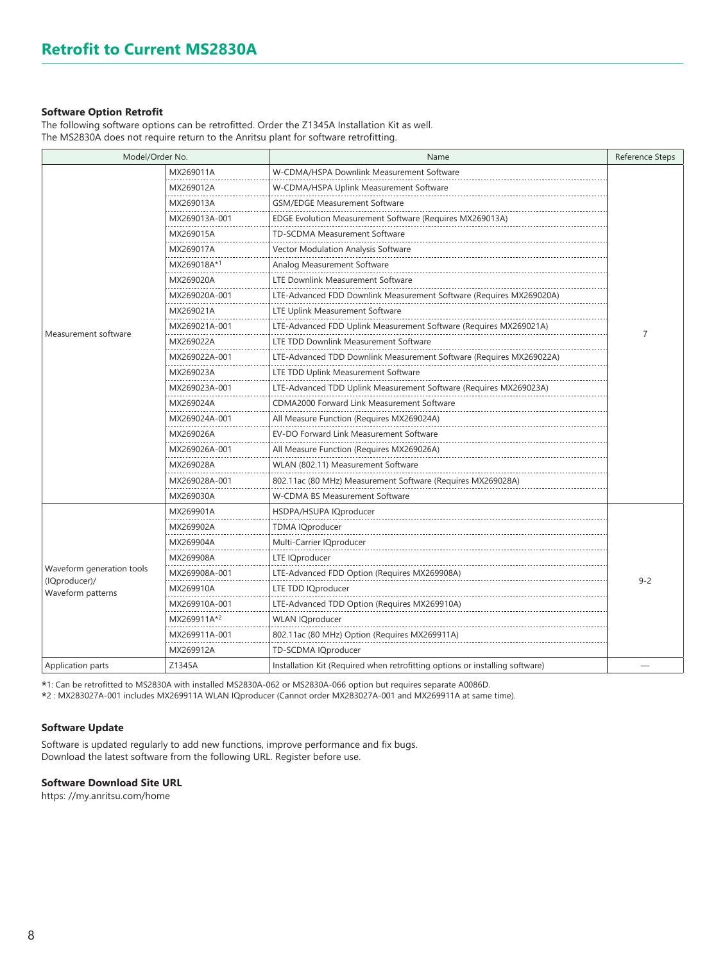#### **Software Option Retrofit**

The following software options can be retrofitted. Order the Z1345A Installation Kit as well. The MS2830A does not require return to the Anritsu plant for software retrofitting.

| Model/Order No.                    |               | Name                                                                         | Reference Steps |  |  |  |  |
|------------------------------------|---------------|------------------------------------------------------------------------------|-----------------|--|--|--|--|
|                                    | MX269011A     | W-CDMA/HSPA Downlink Measurement Software                                    |                 |  |  |  |  |
|                                    | MX269012A     | W-CDMA/HSPA Uplink Measurement Software                                      |                 |  |  |  |  |
|                                    | MX269013A     | <b>GSM/EDGE Measurement Software</b>                                         |                 |  |  |  |  |
|                                    | MX269013A-001 | EDGE Evolution Measurement Software (Requires MX269013A)                     |                 |  |  |  |  |
|                                    | MX269015A     | TD-SCDMA Measurement Software                                                |                 |  |  |  |  |
|                                    | MX269017A     | Vector Modulation Analysis Software                                          |                 |  |  |  |  |
|                                    | MX269018A*1   | Analog Measurement Software                                                  |                 |  |  |  |  |
|                                    | MX269020A     | LTE Downlink Measurement Software                                            |                 |  |  |  |  |
|                                    | MX269020A-001 | LTE-Advanced FDD Downlink Measurement Software (Requires MX269020A)          |                 |  |  |  |  |
|                                    | MX269021A     | LTE Uplink Measurement Software                                              |                 |  |  |  |  |
|                                    | MX269021A-001 | LTE-Advanced FDD Uplink Measurement Software (Requires MX269021A)            |                 |  |  |  |  |
| Measurement software               | MX269022A     | LTE TDD Downlink Measurement Software                                        | $\overline{7}$  |  |  |  |  |
|                                    | MX269022A-001 | LTE-Advanced TDD Downlink Measurement Software (Requires MX269022A)          |                 |  |  |  |  |
|                                    | MX269023A     | LTE TDD Uplink Measurement Software                                          |                 |  |  |  |  |
|                                    | MX269023A-001 | LTE-Advanced TDD Uplink Measurement Software (Requires MX269023A)            |                 |  |  |  |  |
|                                    | MX269024A     | CDMA2000 Forward Link Measurement Software                                   |                 |  |  |  |  |
|                                    | MX269024A-001 | All Measure Function (Requires MX269024A)                                    |                 |  |  |  |  |
|                                    | MX269026A     | EV-DO Forward Link Measurement Software                                      |                 |  |  |  |  |
|                                    | MX269026A-001 | All Measure Function (Requires MX269026A)                                    |                 |  |  |  |  |
|                                    | MX269028A     | WLAN (802.11) Measurement Software                                           |                 |  |  |  |  |
|                                    | MX269028A-001 | 802.11ac (80 MHz) Measurement Software (Requires MX269028A)                  |                 |  |  |  |  |
|                                    | MX269030A     | W-CDMA BS Measurement Software                                               |                 |  |  |  |  |
|                                    | MX269901A     | HSDPA/HSUPA IQproducer                                                       |                 |  |  |  |  |
|                                    | MX269902A     | TDMA IQproducer                                                              |                 |  |  |  |  |
|                                    | MX269904A     | Multi-Carrier IQproducer                                                     |                 |  |  |  |  |
|                                    | MX269908A     | LTE IQproducer                                                               |                 |  |  |  |  |
| Waveform generation tools          | MX269908A-001 | LTE-Advanced FDD Option (Requires MX269908A)                                 |                 |  |  |  |  |
| (IQproducer)/<br>Waveform patterns | MX269910A     | LTE TDD IQproducer                                                           | $9 - 2$         |  |  |  |  |
|                                    | MX269910A-001 | LTE-Advanced TDD Option (Requires MX269910A)                                 |                 |  |  |  |  |
|                                    | MX269911A*2   | <b>WLAN IQproducer</b>                                                       |                 |  |  |  |  |
|                                    | MX269911A-001 | 802.11ac (80 MHz) Option (Requires MX269911A)                                |                 |  |  |  |  |
|                                    | MX269912A     | TD-SCDMA IQproducer                                                          |                 |  |  |  |  |
| Application parts                  | Z1345A        | Installation Kit (Required when retrofitting options or installing software) |                 |  |  |  |  |

\*1: Can be retrofitted to MS2830A with installed MS2830A-062 or MS2830A-066 option but requires separate A0086D.

\*2 : MX283027A-001 includes MX269911A WLAN IQproducer (Cannot order MX283027A-001 and MX269911A at same time).

#### **Software Update**

Software is updated regularly to add new functions, improve performance and fix bugs. Download the latest software from the following URL. Register before use.

#### **Software Download Site URL**

https: //my.anritsu.com/home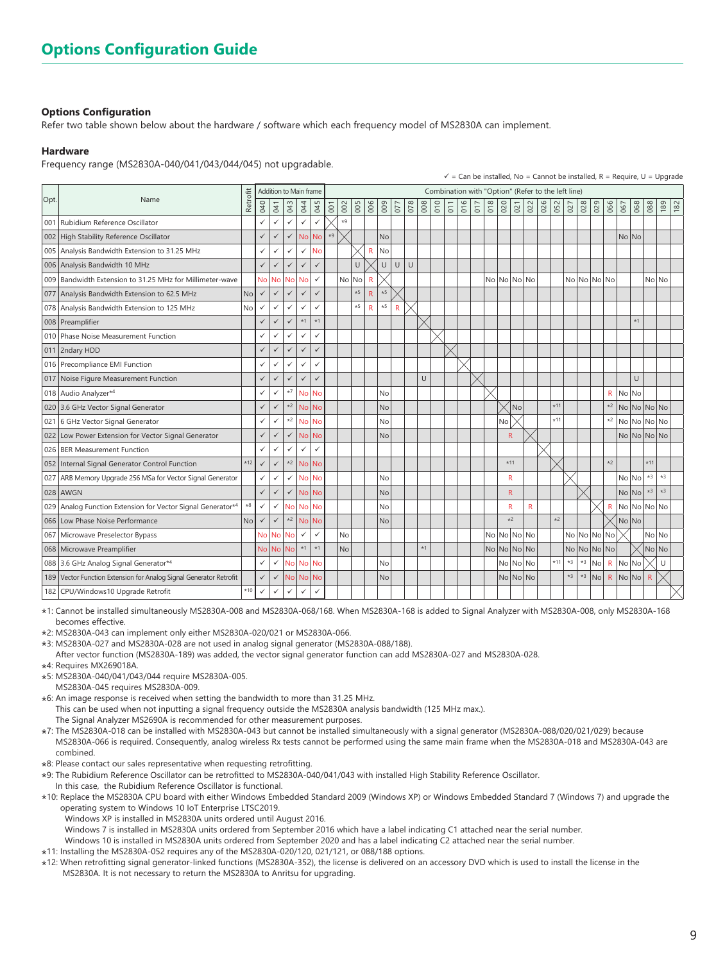#### **Options Configuration**

Refer two table shown below about the hardware / software which each frequency model of MS2830A can implement.

#### **Hardware**

Frequency range (MS2830A-040/041/043/044/045) not upgradable.

|     |                                                                    |          |              |              | Addition to Main frame |              |              |      |           |           |                         |           |                |     |        |     |     |     |     |             |          |           |     |     | Combination with "Option" (Refer to the left line) |             |             |     |              |           |       |                |      |     |
|-----|--------------------------------------------------------------------|----------|--------------|--------------|------------------------|--------------|--------------|------|-----------|-----------|-------------------------|-----------|----------------|-----|--------|-----|-----|-----|-----|-------------|----------|-----------|-----|-----|----------------------------------------------------|-------------|-------------|-----|--------------|-----------|-------|----------------|------|-----|
| Opt | Name                                                               | Retrofit | 040          | 041          | 043                    | 044          | 045          | 001  | 002       | 005       | 006                     | 009       | 077            | 078 | 008    | 010 | 011 | 016 | 017 | 018         | 020      | 021       | 022 | 026 | 052                                                | 027         | 028         | 029 | 066          | 067       | 068   | 088            | 189  | 182 |
|     | 001 Rubidium Reference Oscillator                                  |          | ✓            | ✓            | $\checkmark$           | ✓            | $\checkmark$ |      | $*9$      |           |                         |           |                |     |        |     |     |     |     |             |          |           |     |     |                                                    |             |             |     |              |           |       |                |      |     |
|     | 002 High Stability Reference Oscillator                            |          | $\checkmark$ | $\checkmark$ | $\checkmark$           | <b>No</b>    | <b>No</b>    | $*9$ |           |           |                         | <b>No</b> |                |     |        |     |     |     |     |             |          |           |     |     |                                                    |             |             |     |              | NolNo     |       |                |      |     |
|     | 005 Analysis Bandwidth Extension to 31.25 MHz                      |          | ✓            | ✓            | $\checkmark$           | ✓            | No           |      |           |           | $\overline{R}$          | No        |                |     |        |     |     |     |     |             |          |           |     |     |                                                    |             |             |     |              |           |       |                |      |     |
|     | 006 Analysis Bandwidth 10 MHz                                      |          | $\checkmark$ | $\checkmark$ | $\checkmark$           | ✓            | $\checkmark$ |      |           | $\cup$    |                         | U         | U              | U   |        |     |     |     |     |             |          |           |     |     |                                                    |             |             |     |              |           |       |                |      |     |
|     | 009 Bandwidth Extension to 31.25 MHz for Millimeter-wave           |          | <b>No</b>    | No           | <b>No</b>              | <b>No</b>    | $\checkmark$ |      | No.       | <b>No</b> | $\mathsf{R}$            |           |                |     |        |     |     |     |     | NolNolNolNo |          |           |     |     |                                                    | No No No No |             |     |              |           |       | No No          |      |     |
|     | 077 Analysis Bandwidth Extension to 62.5 MHz                       | No       | $\checkmark$ | $\checkmark$ | $\checkmark$           | $\checkmark$ | $\checkmark$ |      |           | $*5$      | $\overline{R}$          | $*5$      |                |     |        |     |     |     |     |             |          |           |     |     |                                                    |             |             |     |              |           |       |                |      |     |
|     | 078 Analysis Bandwidth Extension to 125 MHz                        | No       | ✓            | ✓            | $\checkmark$           | ✓            | $\checkmark$ |      |           | $*5$      | $\overline{\mathsf{R}}$ | $*5$      | $\overline{R}$ |     |        |     |     |     |     |             |          |           |     |     |                                                    |             |             |     |              |           |       |                |      |     |
|     | 008 Preamplifier                                                   |          | $\checkmark$ | $\checkmark$ | $\checkmark$           | $*1$         | $*1$         |      |           |           |                         |           |                |     |        |     |     |     |     |             |          |           |     |     |                                                    |             |             |     |              |           | $*1$  |                |      |     |
|     | 010 Phase Noise Measurement Function                               |          | ✓            | ✓            | $\checkmark$           | ✓            | $\checkmark$ |      |           |           |                         |           |                |     |        |     |     |     |     |             |          |           |     |     |                                                    |             |             |     |              |           |       |                |      |     |
|     | 011 2ndary HDD                                                     |          | $\checkmark$ | $\checkmark$ | $\checkmark$           | ✓            | $\checkmark$ |      |           |           |                         |           |                |     |        |     |     |     |     |             |          |           |     |     |                                                    |             |             |     |              |           |       |                |      |     |
|     | 016 Precompliance EMI Function                                     |          | ✓            | ✓            | $\checkmark$           | ✓            | $\checkmark$ |      |           |           |                         |           |                |     |        |     |     |     |     |             |          |           |     |     |                                                    |             |             |     |              |           |       |                |      |     |
|     | 017 Noise Figure Measurement Function                              |          | $\checkmark$ | $\checkmark$ | $\checkmark$           | $\checkmark$ | $\checkmark$ |      |           |           |                         |           |                |     | $\cup$ |     |     |     |     |             |          |           |     |     |                                                    |             |             |     |              |           | U     |                |      |     |
|     | 018 Audio Analyzer*4                                               |          | ✓            | ✓            | $\star 7$              | No No        |              |      |           |           |                         | No        |                |     |        |     |     |     |     |             |          |           |     |     |                                                    |             |             |     |              | $R$ No No |       |                |      |     |
|     | 020 3.6 GHz Vector Signal Generator                                |          | $\checkmark$ | $\checkmark$ | $*2$                   | No No        |              |      |           |           |                         | No        |                |     |        |     |     |     |     |             |          | <b>No</b> |     |     | $*11$                                              |             |             |     |              |           |       | *2 No No No No |      |     |
|     | 021 6 GHz Vector Signal Generator                                  |          | ✓            | ✓            | $*2$                   | No No        |              |      |           |           |                         | No        |                |     |        |     |     |     |     |             | No       |           |     |     | $*11$                                              |             |             |     |              |           |       | *2 No No No No |      |     |
|     | 022 Low Power Extension for Vector Signal Generator                |          | $\checkmark$ | $\checkmark$ | $\checkmark$           | No No        |              |      |           |           |                         | <b>No</b> |                |     |        |     |     |     |     |             | R        |           |     |     |                                                    |             |             |     |              |           |       | No No No No    |      |     |
|     | 026 BER Measurement Function                                       |          | ✓            | ✓            | $\checkmark$           | ✓            | $\checkmark$ |      |           |           |                         |           |                |     |        |     |     |     |     |             |          |           |     |     |                                                    |             |             |     |              |           |       |                |      |     |
|     | 052   Internal Signal Generator Control Function                   | $*12$    | $\checkmark$ | $\checkmark$ | $\star 2$              | No No        |              |      |           |           |                         |           |                |     |        |     |     |     |     |             | $*11$    |           |     |     |                                                    |             |             |     | $*2$         |           |       | $*11$          |      |     |
|     | 027 ARB Memory Upgrade 256 MSa for Vector Signal Generator         |          | $\checkmark$ | ✓            | $\checkmark$           | No No        |              |      |           |           |                         | No        |                |     |        |     |     |     |     |             | R        |           |     |     |                                                    |             |             |     |              | NolNo     |       | $*3$           | $*3$ |     |
|     | 028 AWGN                                                           |          | $\checkmark$ | $\checkmark$ | $\checkmark$           | No No        |              |      |           |           |                         | No        |                |     |        |     |     |     |     |             | R        |           |     |     |                                                    |             |             |     |              | No No     |       | $\star$ 3      | $*3$ |     |
|     | 029 Analog Function Extension for Vector Signal Generator*4        | $\ast 8$ | $\checkmark$ | $\checkmark$ | No                     | No No        |              |      |           |           |                         | No        |                |     |        |     |     |     |     |             | R        |           | R   |     |                                                    |             |             |     | R            |           |       | No No No No    |      |     |
|     | 066 Low Phase Noise Performance                                    | No       | $\checkmark$ | $\checkmark$ | $\star 2$              | No No        |              |      |           |           |                         | No        |                |     |        |     |     |     |     |             | $*2$     |           |     |     | $*2$                                               |             |             |     |              | No No     |       |                |      |     |
|     | 067 Microwave Preselector Bypass                                   |          | <b>No</b>    | <b>No</b>    | <b>No</b>              | ✓            | $\checkmark$ |      | No        |           |                         |           |                |     |        |     |     |     |     | No No No No |          |           |     |     |                                                    | No No No No |             |     |              |           |       | No No          |      |     |
|     | 068 Microwave Preamplifier                                         |          | <b>No</b>    | <b>No</b>    | <b>No</b>              | $*1$         | $*1$         |      | <b>No</b> |           |                         |           |                |     | $*1$   |     |     |     |     | No No No No |          |           |     |     |                                                    |             | No No No No |     |              |           |       | No No          |      |     |
|     | 088 3.6 GHz Analog Signal Generator*4                              |          | ✓            | ✓            | <b>No</b>              | No No        |              |      |           |           |                         | No        |                |     |        |     |     |     |     |             | No No No |           |     |     | $*11$                                              | $*3$        | $\star 3$   | No. |              | $R$ No No |       |                | U    |     |
|     | 189 Vector Function Extension for Analog Signal Generator Retrofit |          | $\checkmark$ | $\checkmark$ |                        | No No No     |              |      |           |           |                         | <b>No</b> |                |     |        |     |     |     |     |             | No No No |           |     |     |                                                    | $*3$        | $\star 3$   | No  | $\mathsf{R}$ |           | No No | $\mathsf{R}$   |      |     |
|     | 182 CPU/Windows10 Upgrade Retrofit                                 | $*10$    | $\checkmark$ | $\checkmark$ | $\checkmark$           | $\checkmark$ | $\checkmark$ |      |           |           |                         |           |                |     |        |     |     |     |     |             |          |           |     |     |                                                    |             |             |     |              |           |       |                |      |     |

 $\checkmark$  = Can be installed, No = Cannot be installed, R = Require, U = Upgrade

\*1: Cannot be installed simultaneously MS2830A-008 and MS2830A-068/168. When MS2830A-168 is added to Signal Analyzer with MS2830A-008, only MS2830A-168 becomes effective.

\*2: MS2830A-043 can implement only either MS2830A-020/021 or MS2830A-066.

\*3: MS2830A-027 and MS2830A-028 are not used in analog signal generator (MS2830A-088/188).

After vector function (MS2830A-189) was added, the vector signal generator function can add MS2830A-027 and MS2830A-028. \*4: Requires MX269018A.

- \*5: MS2830A-040/041/043/044 require MS2830A-005.
- MS2830A-045 requires MS2830A-009.
- \*6: An image response is received when setting the bandwidth to more than 31.25 MHz. This can be used when not inputting a signal frequency outside the MS2830A analysis bandwidth (125 MHz max.).
- The Signal Analyzer MS2690A is recommended for other measurement purposes.
- \*7: The MS2830A-018 can be installed with MS2830A-043 but cannot be installed simultaneously with a signal generator (MS2830A-088/020/021/029) because MS2830A-066 is required. Consequently, analog wireless Rx tests cannot be performed using the same main frame when the MS2830A-018 and MS2830A-043 are combined.
- \*8: Please contact our sales representative when requesting retrofitting.
- \*9: The Rubidium Reference Oscillator can be retrofitted to MS2830A-040/041/043 with installed High Stability Reference Oscillator.
- In this case, the Rubidium Reference Oscillator is functional.
- \*10: Replace the MS2830A CPU board with either Windows Embedded Standard 2009 (Windows XP) or Windows Embedded Standard 7 (Windows 7) and upgrade the operating system to Windows 10 IoT Enterprise LTSC2019.
	- Windows XP is installed in MS2830A units ordered until August 2016.

Windows 7 is installed in MS2830A units ordered from September 2016 which have a label indicating C1 attached near the serial number.

Windows 10 is installed in MS2830A units ordered from September 2020 and has a label indicating C2 attached near the serial number.

- \*11: Installing the MS2830A-052 requires any of the MS2830A-020/120, 021/121, or 088/188 options.
- \*12: When retrofitting signal generator-linked functions (MS2830A-352), the license is delivered on an accessory DVD which is used to install the license in the MS2830A. It is not necessary to return the MS2830A to Anritsu for upgrading.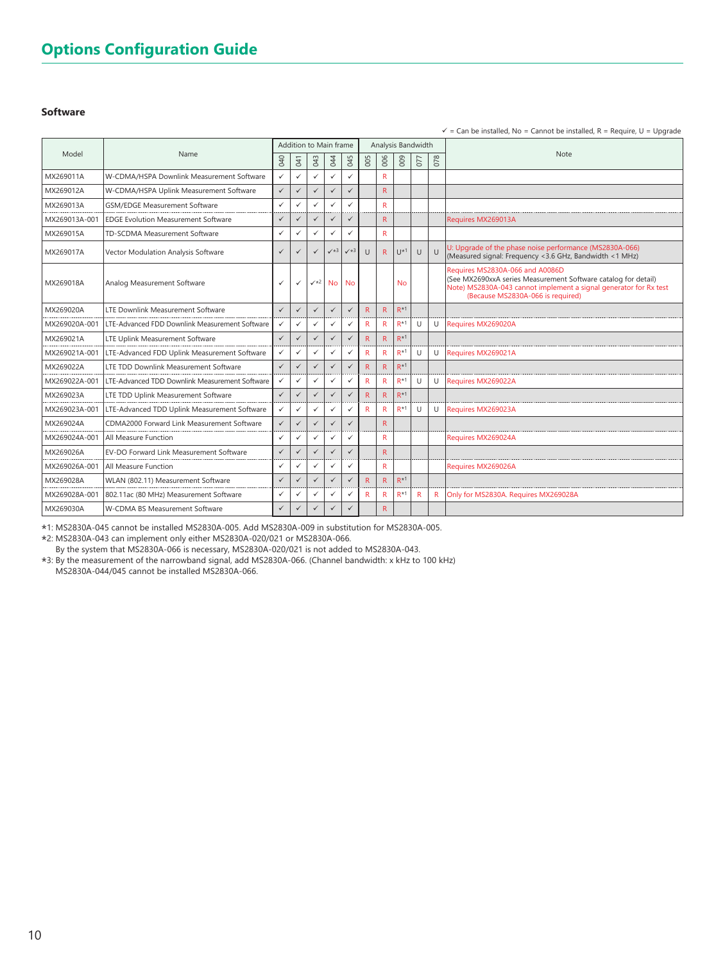#### **Software**

|               |                                                |              |                | Addition to Main frame |              |              |              |              | Analysis Bandwidth |              |              |                                                                                                                                                                                                             |  |  |
|---------------|------------------------------------------------|--------------|----------------|------------------------|--------------|--------------|--------------|--------------|--------------------|--------------|--------------|-------------------------------------------------------------------------------------------------------------------------------------------------------------------------------------------------------------|--|--|
| Model         | Name                                           | <b>GKO</b>   | $\overline{a}$ | G43                    | <b>B44</b>   | GW           | 005          | 006          | 009                | 077          | 078          | Note                                                                                                                                                                                                        |  |  |
| MX269011A     | W-CDMA/HSPA Downlink Measurement Software      | $\checkmark$ | $\checkmark$   | $\checkmark$           | $\checkmark$ | $\checkmark$ |              | R            |                    |              |              |                                                                                                                                                                                                             |  |  |
| MX269012A     | W-CDMA/HSPA Uplink Measurement Software        | $\checkmark$ | $\checkmark$   | $\checkmark$           | $\checkmark$ | $\checkmark$ |              | R.           |                    |              |              |                                                                                                                                                                                                             |  |  |
| MX269013A     | <b>GSM/EDGE Measurement Software</b>           | $\checkmark$ | $\checkmark$   | $\checkmark$           | $\checkmark$ |              |              | R            |                    |              |              |                                                                                                                                                                                                             |  |  |
| MX269013A-001 | <b>EDGE Evolution Measurement Software</b>     | $\checkmark$ | $\checkmark$   | $\checkmark$           | $\checkmark$ | $\checkmark$ |              | R.           |                    |              |              | Requires MX269013A                                                                                                                                                                                          |  |  |
| MX269015A     | TD-SCDMA Measurement Software                  | $\checkmark$ | $\checkmark$   | $\checkmark$           | $\checkmark$ | $\checkmark$ |              | R            |                    |              |              |                                                                                                                                                                                                             |  |  |
| MX269017A     | Vector Modulation Analysis Software            | $\checkmark$ |                | $\checkmark$           | $\sqrt{*3}$  | $\checkmark$ | $\cup$       | R.           | $11*1$             | $\mathbf{U}$ | $\cup$       | U: Upgrade of the phase noise performance (MS2830A-066)<br>(Measured signal: Frequency <3.6 GHz, Bandwidth <1 MHz)                                                                                          |  |  |
| MX269018A     | Analog Measurement Software                    | $\checkmark$ | $\checkmark$   | $\checkmark$ *2        | No   No      |              |              |              | <b>No</b>          |              |              | Requires MS2830A-066 and A0086D<br>(See MX2690xxA series Measurement Software catalog for detail)<br>Note) MS2830A-043 cannot implement a signal generator for Rx test<br>(Because MS2830A-066 is required) |  |  |
| MX269020A     | LTE Downlink Measurement Software              | $\checkmark$ | $\checkmark$   | $\checkmark$           | $\checkmark$ | $\checkmark$ | $\mathsf{R}$ | $\mathsf{R}$ | $R*1$              |              |              |                                                                                                                                                                                                             |  |  |
| MX269020A-001 | LTE-Advanced FDD Downlink Measurement Software | ✓            | $\checkmark$   | $\checkmark$           | $\checkmark$ | $\checkmark$ | R.           | R.           | $R^{*1}$           | U            |              | U   Requires MX269020A                                                                                                                                                                                      |  |  |
| MX269021A     | LTE Uplink Measurement Software                | $\checkmark$ | $\checkmark$   |                        | $\checkmark$ | $\checkmark$ | R.           | R.           | $R*1$              |              |              |                                                                                                                                                                                                             |  |  |
| MX269021A-001 | LTE-Advanced FDD Uplink Measurement Software   | ✓            | $\checkmark$   | ✓                      | $\checkmark$ | $\checkmark$ | R.           | R.           | $R*1$              | U            | U            | Requires MX269021A                                                                                                                                                                                          |  |  |
| MX269022A     | LTE TDD Downlink Measurement Software          | $\checkmark$ | $\checkmark$   | $\checkmark$           | $\checkmark$ | $\checkmark$ | R.           | R            | $R*1$              |              |              |                                                                                                                                                                                                             |  |  |
| MX269022A-001 | LTE-Advanced TDD Downlink Measurement Software | $\checkmark$ | $\checkmark$   | $\checkmark$           | $\checkmark$ | $\checkmark$ | R            | R.           | $R*1$              | U            | U            | Requires MX269022A                                                                                                                                                                                          |  |  |
| MX269023A     | LTE TDD Uplink Measurement Software            | $\checkmark$ | $\checkmark$   | $\checkmark$           | $\checkmark$ | $\checkmark$ | R.           | R.           | $R*1$              |              |              |                                                                                                                                                                                                             |  |  |
| MX269023A-001 | LTE-Advanced TDD Uplink Measurement Software   | $\checkmark$ | $\checkmark$   | $\checkmark$           | $\checkmark$ | $\checkmark$ | R            | R            | $R*1$              | U            | U            | Requires MX269023A                                                                                                                                                                                          |  |  |
| MX269024A     | CDMA2000 Forward Link Measurement Software     | $\checkmark$ | $\checkmark$   | $\checkmark$           | ✓            | $\checkmark$ |              | R            |                    |              |              |                                                                                                                                                                                                             |  |  |
| MX269024A-001 | All Measure Function                           | $\checkmark$ | $\checkmark$   | $\checkmark$           | $\checkmark$ | $\checkmark$ |              | R            |                    |              |              | Requires MX269024A                                                                                                                                                                                          |  |  |
| MX269026A     | EV-DO Forward Link Measurement Software        | $\checkmark$ | $\checkmark$   | $\checkmark$           | $\checkmark$ | $\checkmark$ |              | R.           |                    |              |              |                                                                                                                                                                                                             |  |  |
| MX269026A-001 | All Measure Function                           | ✓            | $\checkmark$   | $\checkmark$           | $\checkmark$ | $\checkmark$ |              | R.           |                    |              |              | Requires MX269026A                                                                                                                                                                                          |  |  |
| MX269028A     | WLAN (802.11) Measurement Software             |              |                |                        |              |              | R.           | R.           | $R*1$              |              |              |                                                                                                                                                                                                             |  |  |
| MX269028A-001 | 802.11ac (80 MHz) Measurement Software         | ✓            | ✓              | ✓                      | $\checkmark$ | $\checkmark$ | R.           | R.           | $R*1$              | $\mathsf{R}$ | $\mathsf{R}$ | Only for MS2830A. Requires MX269028A                                                                                                                                                                        |  |  |
| MX269030A     | W-CDMA BS Measurement Software                 |              |                |                        | $\checkmark$ |              |              | $\mathsf{R}$ |                    |              |              |                                                                                                                                                                                                             |  |  |

\*1: MS2830A-045 cannot be installed MS2830A-005. Add MS2830A-009 in substitution for MS2830A-005.

\*2: MS2830A-043 can implement only either MS2830A-020/021 or MS2830A-066.

By the system that MS2830A-066 is necessary, MS2830A-020/021 is not added to MS2830A-043.

\*3: By the measurement of the narrowband signal, add MS2830A-066. (Channel bandwidth: x kHz to 100 kHz) MS2830A-044/045 cannot be installed MS2830A-066.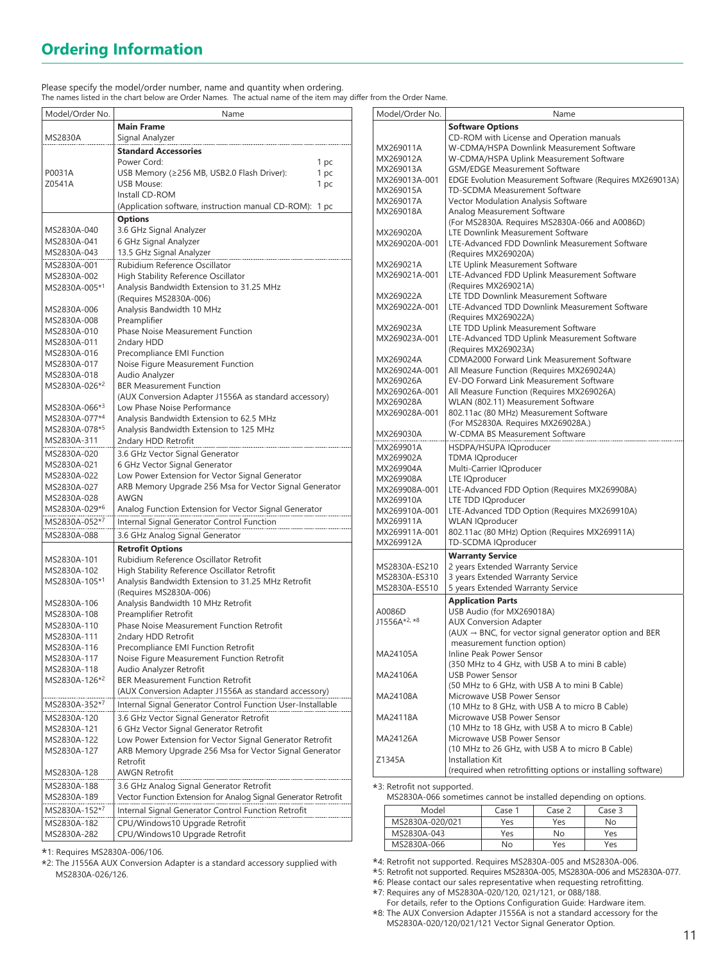### **Ordering Information**

Please specify the model/order number, name and quantity when ordering. The names listed in the chart below are Order Names. The actual name of the item may differ from the Order Name.

| Model/Order No.              | Name                                                                                                               |
|------------------------------|--------------------------------------------------------------------------------------------------------------------|
|                              | <b>Main Frame</b>                                                                                                  |
| MS2830A                      | Signal Analyzer                                                                                                    |
|                              | <b>Standard Accessories</b>                                                                                        |
|                              | Power Cord:<br>1 pc                                                                                                |
| P0031A                       | USB Memory (≥256 MB, USB2.0 Flash Driver):<br>1 pc                                                                 |
| Z0541A                       | <b>USB Mouse:</b><br>1 pc                                                                                          |
|                              | Install CD-ROM                                                                                                     |
|                              | (Application software, instruction manual CD-ROM): 1 pc                                                            |
|                              | <b>Options</b>                                                                                                     |
| MS2830A-040                  | 3.6 GHz Signal Analyzer                                                                                            |
| MS2830A-041                  | 6 GHz Signal Analyzer                                                                                              |
| MS2830A-043                  | 13.5 GHz Signal Analyzer                                                                                           |
| MS2830A-001                  | Rubidium Reference Oscillator                                                                                      |
| MS2830A-002                  | High Stability Reference Oscillator                                                                                |
| MS2830A-005*1                | Analysis Bandwidth Extension to 31.25 MHz                                                                          |
|                              | (Requires MS2830A-006)                                                                                             |
| MS2830A-006<br>MS2830A-008   | Analysis Bandwidth 10 MHz<br>Preamplifier                                                                          |
| MS2830A-010                  | <b>Phase Noise Measurement Function</b>                                                                            |
| MS2830A-011                  | 2ndary HDD                                                                                                         |
| MS2830A-016                  | Precompliance EMI Function                                                                                         |
| MS2830A-017                  | Noise Figure Measurement Function                                                                                  |
| MS2830A-018                  | Audio Analyzer                                                                                                     |
| MS2830A-026*2                | <b>BER Measurement Function</b>                                                                                    |
|                              | (AUX Conversion Adapter J1556A as standard accessory)                                                              |
| MS2830A-066*3                | Low Phase Noise Performance                                                                                        |
| MS2830A-077*4                | Analysis Bandwidth Extension to 62.5 MHz                                                                           |
| MS2830A-078*5                | Analysis Bandwidth Extension to 125 MHz                                                                            |
| MS2830A-311                  | 2ndary HDD Retrofit                                                                                                |
| MS2830A-020                  | 3.6 GHz Vector Signal Generator                                                                                    |
| MS2830A-021<br>MS2830A-022   | 6 GHz Vector Signal Generator<br>Low Power Extension for Vector Signal Generator                                   |
|                              | ARB Memory Upgrade 256 Msa for Vector Signal Generator                                                             |
|                              |                                                                                                                    |
| MS2830A-027                  | AWGN                                                                                                               |
| MS2830A-028<br>MS2830A-029*6 |                                                                                                                    |
|                              | Analog Function Extension for Vector Signal Generator                                                              |
| MS2830A-052*7                | Internal Signal Generator Control Function                                                                         |
| MS2830A-088                  | 3.6 GHz Analog Signal Generator                                                                                    |
|                              | <b>Retrofit Options</b>                                                                                            |
| MS2830A-101                  | Rubidium Reference Oscillator Retrofit                                                                             |
| MS2830A-102<br>MS2830A-105*1 | High Stability Reference Oscillator Retrofit<br>Analysis Bandwidth Extension to 31.25 MHz Retrofit                 |
|                              | (Requires MS2830A-006)                                                                                             |
| MS2830A-106                  | Analysis Bandwidth 10 MHz Retrofit                                                                                 |
| MS2830A-108                  | Preamplifier Retrofit                                                                                              |
| MS2830A-110                  | Phase Noise Measurement Function Retrofit                                                                          |
| MS2830A-111                  | 2ndary HDD Retrofit                                                                                                |
| MS2830A-116                  | Precompliance EMI Function Retrofit                                                                                |
| MS2830A-117                  | Noise Figure Measurement Function Retrofit                                                                         |
| MS2830A-118                  | Audio Analyzer Retrofit                                                                                            |
| MS2830A-126*2                | <b>BER Measurement Function Retrofit</b>                                                                           |
|                              | (AUX Conversion Adapter J1556A as standard accessory)                                                              |
| MS2830A-352*7                | Internal Signal Generator Control Function User-Installable                                                        |
| MS2830A-120                  | 3.6 GHz Vector Signal Generator Retrofit                                                                           |
| MS2830A-121                  | 6 GHz Vector Signal Generator Retrofit                                                                             |
| MS2830A-122<br>MS2830A-127   | Low Power Extension for Vector Signal Generator Retrofit<br>ARB Memory Upgrade 256 Msa for Vector Signal Generator |
|                              | Retrofit                                                                                                           |
| MS2830A-128                  | <b>AWGN Retrofit</b>                                                                                               |
| MS2830A-188                  | 3.6 GHz Analog Signal Generator Retrofit                                                                           |
| MS2830A-189                  | Vector Function Extension for Analog Signal Generator Retrofit                                                     |
| MS2830A-152*/                |                                                                                                                    |
| MS2830A-182                  | Internal Signal Generator Control Function Retrofit<br>CPU/Windows10 Upgrade Retrofit                              |
| MS2830A-282                  | CPU/Windows10 Upgrade Retrofit                                                                                     |

\*1: Requires MS2830A-006/106.

\*2: The J1556A AUX Conversion Adapter is a standard accessory supplied with MS2830A-026/126.

| Model/Order No. | Name                                                                          |  |  |  |
|-----------------|-------------------------------------------------------------------------------|--|--|--|
|                 | <b>Software Options</b>                                                       |  |  |  |
|                 | CD-ROM with License and Operation manuals                                     |  |  |  |
| MX269011A       | W-CDMA/HSPA Downlink Measurement Software                                     |  |  |  |
| MX269012A       | W-CDMA/HSPA Uplink Measurement Software                                       |  |  |  |
| MX269013A       | <b>GSM/EDGE Measurement Software</b>                                          |  |  |  |
| MX269013A-001   | EDGE Evolution Measurement Software (Requires MX269013A)                      |  |  |  |
| MX269015A       | TD-SCDMA Measurement Software                                                 |  |  |  |
| MX269017A       | Vector Modulation Analysis Software                                           |  |  |  |
| MX269018A       | Analog Measurement Software                                                   |  |  |  |
|                 | (For MS2830A. Requires MS2830A-066 and A0086D)                                |  |  |  |
| MX269020A       | LTE Downlink Measurement Software                                             |  |  |  |
| MX269020A-001   | LTE-Advanced FDD Downlink Measurement Software                                |  |  |  |
|                 | (Requires MX269020A)                                                          |  |  |  |
| MX269021A       | LTE Uplink Measurement Software                                               |  |  |  |
| MX269021A-001   | LTE-Advanced FDD Uplink Measurement Software                                  |  |  |  |
|                 | (Requires MX269021A)                                                          |  |  |  |
| MX269022A       | LTE TDD Downlink Measurement Software                                         |  |  |  |
| MX269022A-001   | LTE-Advanced TDD Downlink Measurement Software                                |  |  |  |
|                 | (Requires MX269022A)                                                          |  |  |  |
| MX269023A       | LTE TDD Uplink Measurement Software                                           |  |  |  |
| MX269023A-001   | LTE-Advanced TDD Uplink Measurement Software                                  |  |  |  |
| MX269024A       | (Requires MX269023A)<br>CDMA2000 Forward Link Measurement Software            |  |  |  |
| MX269024A-001   | All Measure Function (Requires MX269024A)                                     |  |  |  |
| MX269026A       | EV-DO Forward Link Measurement Software                                       |  |  |  |
| MX269026A-001   | All Measure Function (Requires MX269026A)                                     |  |  |  |
| MX269028A       | WLAN (802.11) Measurement Software                                            |  |  |  |
| MX269028A-001   | 802.11ac (80 MHz) Measurement Software                                        |  |  |  |
|                 | (For MS2830A. Requires MX269028A.)                                            |  |  |  |
| MX269030A       | W-CDMA BS Measurement Software                                                |  |  |  |
| MX269901A       | HSDPA/HSUPA IQproducer                                                        |  |  |  |
| MX269902A       | <b>TDMA IQproducer</b>                                                        |  |  |  |
| MX269904A       | Multi-Carrier IQproducer                                                      |  |  |  |
| MX269908A       | LTE IQproducer                                                                |  |  |  |
| MX269908A-001   | LTE-Advanced FDD Option (Requires MX269908A)                                  |  |  |  |
| MX269910A       | LTE TDD IQproducer                                                            |  |  |  |
| MX269910A-001   | LTE-Advanced TDD Option (Requires MX269910A)                                  |  |  |  |
| MX269911A       | <b>WLAN IQproducer</b>                                                        |  |  |  |
| MX269911A-001   | 802.11ac (80 MHz) Option (Requires MX269911A)                                 |  |  |  |
| MX269912A       | TD-SCDMA IQproducer                                                           |  |  |  |
|                 | <b>Warranty Service</b>                                                       |  |  |  |
| MS2830A-ES210   | 2 years Extended Warranty Service                                             |  |  |  |
| MS2830A-ES310   | 3 years Extended Warranty Service                                             |  |  |  |
| MS2830A-ES510   | 5 years Extended Warranty Service                                             |  |  |  |
|                 | <b>Application Parts</b>                                                      |  |  |  |
| A0086D          | USB Audio (for MX269018A)                                                     |  |  |  |
| J1556A*2, *8    | <b>AUX Conversion Adapter</b>                                                 |  |  |  |
|                 | $(AUX \rightarrow BNC,$ for vector signal generator option and BER            |  |  |  |
|                 | measurement function option)                                                  |  |  |  |
| MA24105A        | Inline Peak Power Sensor                                                      |  |  |  |
|                 | (350 MHz to 4 GHz, with USB A to mini B cable)                                |  |  |  |
| MA24106A        | <b>USB Power Sensor</b>                                                       |  |  |  |
|                 | (50 MHz to 6 GHz, with USB A to mini B Cable)                                 |  |  |  |
| MA24108A        | Microwave USB Power Sensor                                                    |  |  |  |
|                 | (10 MHz to 8 GHz, with USB A to micro B Cable)                                |  |  |  |
| MA24118A        | Microwave USB Power Sensor                                                    |  |  |  |
| MA24126A        | (10 MHz to 18 GHz, with USB A to micro B Cable)<br>Microwave USB Power Sensor |  |  |  |
|                 | (10 MHz to 26 GHz, with USB A to micro B Cable)                               |  |  |  |
| Z1345A          | Installation Kit                                                              |  |  |  |
|                 | (required when retrofitting options or installing software)                   |  |  |  |
|                 |                                                                               |  |  |  |

\*3: Retrofit not supported.

| MS2830A-066 sometimes cannot be installed depending on options |                 |        |        |        |  |  |  |  |
|----------------------------------------------------------------|-----------------|--------|--------|--------|--|--|--|--|
|                                                                | Model           | Case 1 | Case 2 | Case 3 |  |  |  |  |
|                                                                | MS2830A-020/021 | Yes    | Yes    | No.    |  |  |  |  |
|                                                                | MS2830A-043     | Yes    | No     | Yes    |  |  |  |  |
|                                                                | MS2830A-066     | No     | Yes    | Yes    |  |  |  |  |

\*4: Retrofit not supported. Requires MS2830A-005 and MS2830A-006.

\*5: Retrofit not supported. Requires MS2830A-005, MS2830A-006 and MS2830A-077.

\*6: Please contact our sales representative when requesting retrofitting.

\*7: Requires any of MS2830A-020/120, 021/121, or 088/188. For details, refer to the Options Configuration Guide: Hardware item.

\*8: The AUX Conversion Adapter J1556A is not a standard accessory for the MS2830A-020/120/021/121 Vector Signal Generator Option.